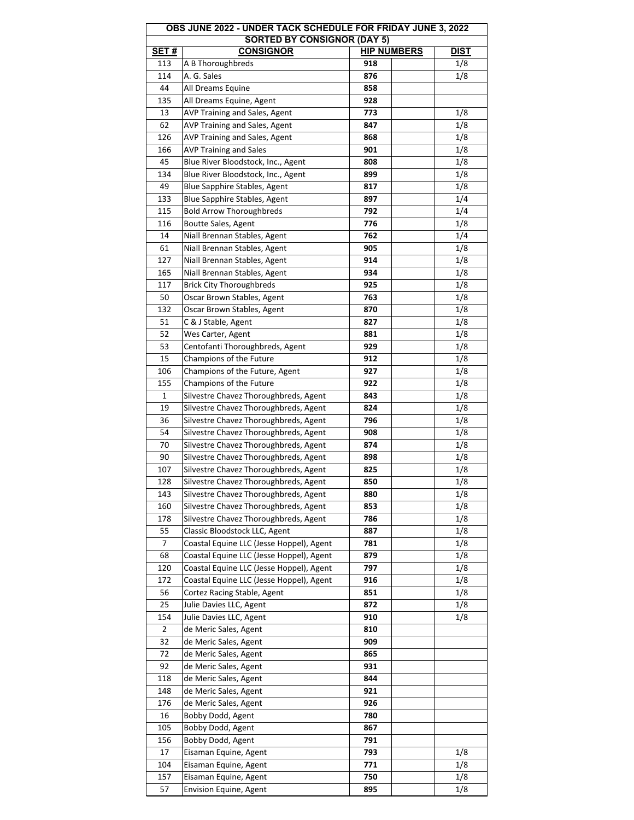| OBS JUNE 2022 - UNDER TACK SCHEDULE FOR FRIDAY JUNE 3, 2022 |                                          |                    |             |  |  |  |  |
|-------------------------------------------------------------|------------------------------------------|--------------------|-------------|--|--|--|--|
| <b>SORTED BY CONSIGNOR (DAY 5)</b>                          |                                          |                    |             |  |  |  |  |
| <b>SET#</b>                                                 | <b>CONSIGNOR</b>                         | <b>HIP NUMBERS</b> | <b>DIST</b> |  |  |  |  |
| 113                                                         | A B Thoroughbreds                        | 918                | 1/8         |  |  |  |  |
| 114                                                         | A. G. Sales                              | 876                | 1/8         |  |  |  |  |
| 44                                                          | All Dreams Equine                        | 858                |             |  |  |  |  |
| 135                                                         | All Dreams Equine, Agent                 | 928                |             |  |  |  |  |
| 13                                                          | AVP Training and Sales, Agent            | 773                | 1/8         |  |  |  |  |
| 62                                                          | AVP Training and Sales, Agent            | 847                | 1/8         |  |  |  |  |
| 126                                                         | AVP Training and Sales, Agent            | 868                | 1/8         |  |  |  |  |
| 166                                                         | <b>AVP Training and Sales</b>            | 901                | 1/8         |  |  |  |  |
| 45                                                          | Blue River Bloodstock, Inc., Agent       | 808                | 1/8         |  |  |  |  |
| 134                                                         | Blue River Bloodstock, Inc., Agent       | 899                | 1/8         |  |  |  |  |
| 49                                                          | Blue Sapphire Stables, Agent             | 817                | 1/8         |  |  |  |  |
| 133                                                         | Blue Sapphire Stables, Agent             | 897                | 1/4         |  |  |  |  |
| 115                                                         | <b>Bold Arrow Thoroughbreds</b>          | 792                | 1/4         |  |  |  |  |
| 116                                                         | Boutte Sales, Agent                      | 776                | 1/8         |  |  |  |  |
| 14                                                          | Niall Brennan Stables, Agent             | 762                | 1/4         |  |  |  |  |
| 61                                                          | Niall Brennan Stables, Agent             | 905                | 1/8         |  |  |  |  |
| 127                                                         | Niall Brennan Stables, Agent             | 914                | 1/8         |  |  |  |  |
| 165                                                         | Niall Brennan Stables, Agent             | 934                | 1/8         |  |  |  |  |
| 117                                                         | <b>Brick City Thoroughbreds</b>          | 925                | 1/8         |  |  |  |  |
| 50                                                          | Oscar Brown Stables, Agent               | 763                | 1/8         |  |  |  |  |
| 132                                                         | Oscar Brown Stables, Agent               | 870                | 1/8         |  |  |  |  |
| 51                                                          | C & J Stable, Agent                      | 827                | 1/8         |  |  |  |  |
| 52                                                          | Wes Carter, Agent                        | 881                | 1/8         |  |  |  |  |
| 53                                                          | Centofanti Thoroughbreds, Agent          | 929                | 1/8         |  |  |  |  |
| 15                                                          | Champions of the Future                  | 912                | 1/8         |  |  |  |  |
| 106                                                         | Champions of the Future, Agent           | 927                | 1/8         |  |  |  |  |
| 155                                                         | Champions of the Future                  | 922                | 1/8         |  |  |  |  |
| 1                                                           | Silvestre Chavez Thoroughbreds, Agent    | 843                | 1/8         |  |  |  |  |
| 19                                                          | Silvestre Chavez Thoroughbreds, Agent    | 824                | 1/8         |  |  |  |  |
| 36                                                          | Silvestre Chavez Thoroughbreds, Agent    | 796                | 1/8         |  |  |  |  |
| 54                                                          | Silvestre Chavez Thoroughbreds, Agent    |                    |             |  |  |  |  |
|                                                             |                                          | 908                | 1/8         |  |  |  |  |
| 70                                                          | Silvestre Chavez Thoroughbreds, Agent    | 874                | 1/8         |  |  |  |  |
| 90                                                          | Silvestre Chavez Thoroughbreds, Agent    | 898                | 1/8         |  |  |  |  |
| 107                                                         | Silvestre Chavez Thoroughbreds, Agent    | 825                | 1/8         |  |  |  |  |
| 128                                                         | Silvestre Chavez Thoroughbreds, Agent    | 850                | 1/8         |  |  |  |  |
| 143                                                         | Silvestre Chavez Thoroughbreds, Agent    | 880                | 1/8         |  |  |  |  |
| 160                                                         | Silvestre Chavez Thoroughbreds, Agent    | 853                | 1/8         |  |  |  |  |
| 178                                                         | Silvestre Chavez Thoroughbreds, Agent    | 786                | 1/8         |  |  |  |  |
| 55                                                          | Classic Bloodstock LLC, Agent            | 887                | 1/8         |  |  |  |  |
| 7                                                           | Coastal Equine LLC (Jesse Hoppel), Agent | 781                | 1/8         |  |  |  |  |
| 68                                                          | Coastal Equine LLC (Jesse Hoppel), Agent | 879                | 1/8         |  |  |  |  |
| 120                                                         | Coastal Equine LLC (Jesse Hoppel), Agent | 797                | 1/8         |  |  |  |  |
| 172                                                         | Coastal Equine LLC (Jesse Hoppel), Agent | 916                | 1/8         |  |  |  |  |
| 56                                                          | Cortez Racing Stable, Agent              | 851                | 1/8         |  |  |  |  |
| 25                                                          | Julie Davies LLC, Agent                  | 872                | 1/8         |  |  |  |  |
| 154                                                         | Julie Davies LLC, Agent                  | 910                | 1/8         |  |  |  |  |
| 2                                                           | de Meric Sales, Agent                    | 810                |             |  |  |  |  |
| 32                                                          | de Meric Sales, Agent                    | 909                |             |  |  |  |  |
| 72                                                          | de Meric Sales, Agent                    | 865                |             |  |  |  |  |
| 92                                                          | de Meric Sales, Agent                    | 931                |             |  |  |  |  |
| 118                                                         | de Meric Sales, Agent                    | 844                |             |  |  |  |  |
| 148                                                         | de Meric Sales, Agent                    | 921                |             |  |  |  |  |
| 176                                                         | de Meric Sales, Agent                    | 926                |             |  |  |  |  |
| 16                                                          | Bobby Dodd, Agent                        | 780                |             |  |  |  |  |
| 105                                                         | Bobby Dodd, Agent                        | 867                |             |  |  |  |  |
| 156                                                         | Bobby Dodd, Agent                        | 791                |             |  |  |  |  |
| 17                                                          | Eisaman Equine, Agent                    | 793                | 1/8         |  |  |  |  |
| 104                                                         | Eisaman Equine, Agent                    | 771                | 1/8         |  |  |  |  |
| 157                                                         | Eisaman Equine, Agent                    | 750                | 1/8         |  |  |  |  |
| 57                                                          | Envision Equine, Agent                   | 895                | 1/8         |  |  |  |  |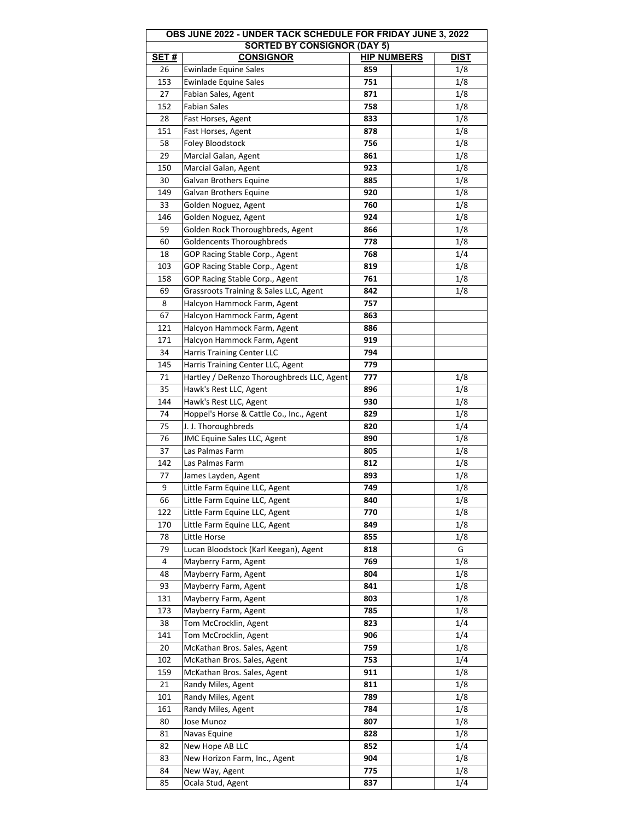| OBS JUNE 2022 - UNDER TACK SCHEDULE FOR FRIDAY JUNE 3, 2022 |                                            |            |                                   |  |  |  |  |
|-------------------------------------------------------------|--------------------------------------------|------------|-----------------------------------|--|--|--|--|
| <b>SORTED BY CONSIGNOR (DAY 5)</b>                          |                                            |            |                                   |  |  |  |  |
| <b>SET#</b>                                                 | <b>CONSIGNOR</b>                           |            | <b>HIP NUMBERS</b><br><b>DIST</b> |  |  |  |  |
| 26                                                          | Ewinlade Equine Sales                      | 859        | 1/8                               |  |  |  |  |
| 153                                                         | <b>Ewinlade Equine Sales</b>               | 751        | 1/8                               |  |  |  |  |
| 27                                                          | Fabian Sales, Agent                        | 871        | 1/8                               |  |  |  |  |
| 152                                                         | <b>Fabian Sales</b>                        | 758        | 1/8                               |  |  |  |  |
| 28                                                          | Fast Horses, Agent                         | 833        | 1/8                               |  |  |  |  |
| 151                                                         | Fast Horses, Agent                         | 878        | 1/8                               |  |  |  |  |
| 58                                                          | Foley Bloodstock                           | 756        | 1/8                               |  |  |  |  |
| 29                                                          | Marcial Galan, Agent                       | 861        | 1/8                               |  |  |  |  |
| 150                                                         | Marcial Galan, Agent                       | 923        | 1/8                               |  |  |  |  |
| 30                                                          | Galvan Brothers Equine                     | 885        | 1/8                               |  |  |  |  |
| 149                                                         | Galvan Brothers Equine                     | 920        | 1/8                               |  |  |  |  |
| 33                                                          | Golden Noguez, Agent                       | 760        | 1/8                               |  |  |  |  |
| 146                                                         | Golden Noguez, Agent                       | 924        | 1/8                               |  |  |  |  |
| 59                                                          | Golden Rock Thoroughbreds, Agent           | 866        | 1/8                               |  |  |  |  |
| 60                                                          | Goldencents Thoroughbreds                  | 778        | 1/8                               |  |  |  |  |
| 18                                                          | GOP Racing Stable Corp., Agent             | 768        | 1/4                               |  |  |  |  |
| 103                                                         | GOP Racing Stable Corp., Agent             | 819        | 1/8                               |  |  |  |  |
| 158                                                         | GOP Racing Stable Corp., Agent             | 761        | 1/8                               |  |  |  |  |
| 69                                                          | Grassroots Training & Sales LLC, Agent     | 842        | 1/8                               |  |  |  |  |
| 8                                                           | Halcyon Hammock Farm, Agent                | 757        |                                   |  |  |  |  |
| 67                                                          | Halcyon Hammock Farm, Agent                | 863        |                                   |  |  |  |  |
| 121                                                         | Halcyon Hammock Farm, Agent                | 886        |                                   |  |  |  |  |
| 171                                                         | Halcyon Hammock Farm, Agent                | 919        |                                   |  |  |  |  |
| 34                                                          | Harris Training Center LLC                 | 794        |                                   |  |  |  |  |
| 145                                                         | Harris Training Center LLC, Agent          | 779        |                                   |  |  |  |  |
| 71                                                          | Hartley / DeRenzo Thoroughbreds LLC, Agent | 777        | 1/8                               |  |  |  |  |
| 35                                                          | Hawk's Rest LLC, Agent                     | 896        | 1/8                               |  |  |  |  |
| 144                                                         | Hawk's Rest LLC, Agent                     | 930        | 1/8                               |  |  |  |  |
| 74                                                          | Hoppel's Horse & Cattle Co., Inc., Agent   | 829        | 1/8                               |  |  |  |  |
| 75                                                          | J. J. Thoroughbreds                        | 820        | 1/4                               |  |  |  |  |
| 76                                                          | <b>JMC Equine Sales LLC, Agent</b>         | 890        | 1/8                               |  |  |  |  |
| 37                                                          | Las Palmas Farm                            | 805        | 1/8                               |  |  |  |  |
| 142                                                         | Las Palmas Farm                            | 812        | 1/8                               |  |  |  |  |
|                                                             |                                            |            |                                   |  |  |  |  |
| 77<br>9                                                     | James Layden, Agent                        | 893<br>749 | 1/8                               |  |  |  |  |
|                                                             | Little Farm Equine LLC, Agent              |            | 1/8                               |  |  |  |  |
| 66                                                          | Little Farm Equine LLC, Agent              | 840        | 1/8                               |  |  |  |  |
| 122                                                         | Little Farm Equine LLC, Agent              | 770        | 1/8                               |  |  |  |  |
| 170                                                         | Little Farm Equine LLC, Agent              | 849        | 1/8                               |  |  |  |  |
| 78                                                          | Little Horse                               | 855        | 1/8                               |  |  |  |  |
| 79                                                          | Lucan Bloodstock (Karl Keegan), Agent      | 818        | G                                 |  |  |  |  |
| 4                                                           | Mayberry Farm, Agent                       | 769        | 1/8                               |  |  |  |  |
| 48                                                          | Mayberry Farm, Agent                       | 804        | 1/8                               |  |  |  |  |
| 93                                                          | Mayberry Farm, Agent                       | 841        | 1/8                               |  |  |  |  |
| 131                                                         | Mayberry Farm, Agent                       | 803        | 1/8                               |  |  |  |  |
| 173                                                         | Mayberry Farm, Agent                       | 785        | 1/8                               |  |  |  |  |
| 38                                                          | Tom McCrocklin, Agent                      | 823        | 1/4                               |  |  |  |  |
| 141                                                         | Tom McCrocklin, Agent                      | 906        | 1/4                               |  |  |  |  |
| 20                                                          | McKathan Bros. Sales, Agent                | 759        | 1/8                               |  |  |  |  |
| 102                                                         | McKathan Bros. Sales, Agent                | 753        | 1/4                               |  |  |  |  |
| 159                                                         | McKathan Bros. Sales, Agent                | 911        | 1/8                               |  |  |  |  |
| 21                                                          | Randy Miles, Agent                         | 811        | 1/8                               |  |  |  |  |
| 101                                                         | Randy Miles, Agent                         | 789        | 1/8                               |  |  |  |  |
| 161                                                         | Randy Miles, Agent                         | 784        | 1/8                               |  |  |  |  |
| 80                                                          | Jose Munoz                                 | 807        | 1/8                               |  |  |  |  |
| 81                                                          | Navas Equine                               | 828        | 1/8                               |  |  |  |  |
| 82                                                          | New Hope AB LLC                            | 852        | 1/4                               |  |  |  |  |
| 83                                                          | New Horizon Farm, Inc., Agent              | 904        | 1/8                               |  |  |  |  |
| 84                                                          | New Way, Agent                             | 775        | 1/8                               |  |  |  |  |
| 85                                                          | Ocala Stud, Agent                          | 837        | 1/4                               |  |  |  |  |